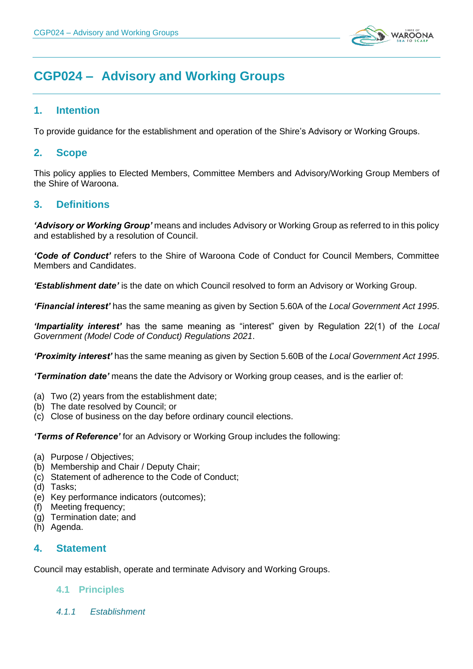

# **CGP024 – Advisory and Working Groups**

# **1. Intention**

To provide guidance for the establishment and operation of the Shire's Advisory or Working Groups.

# **2. Scope**

This policy applies to Elected Members, Committee Members and Advisory/Working Group Members of the Shire of Waroona.

# **3. Definitions**

*'Advisory or Working Group'* means and includes Advisory or Working Group as referred to in this policy and established by a resolution of Council.

*'Code of Conduct'* refers to the Shire of Waroona Code of Conduct for Council Members, Committee Members and Candidates.

*'Establishment date'* is the date on which Council resolved to form an Advisory or Working Group.

*'Financial interest'* has the same meaning as given by Section 5.60A of the *Local Government Act 1995*.

*'Impartiality interest'* has the same meaning as "interest" given by Regulation 22(1) of the *Local Government (Model Code of Conduct) Regulations 2021*.

*'Proximity interest'* has the same meaning as given by Section 5.60B of the *Local Government Act 1995*.

*'Termination date'* means the date the Advisory or Working group ceases, and is the earlier of:

- (a) Two (2) years from the establishment date;
- (b) The date resolved by Council; or
- (c) Close of business on the day before ordinary council elections.

*'Terms of Reference'* for an Advisory or Working Group includes the following:

- (a) Purpose / Objectives;
- (b) Membership and Chair / Deputy Chair;
- (c) Statement of adherence to the Code of Conduct;
- (d) Tasks;
- (e) Key performance indicators (outcomes);
- (f) Meeting frequency;
- (g) Termination date; and
- (h) Agenda.

# **4. Statement**

Council may establish, operate and terminate Advisory and Working Groups.

# **4.1 Principles**

*4.1.1 Establishment*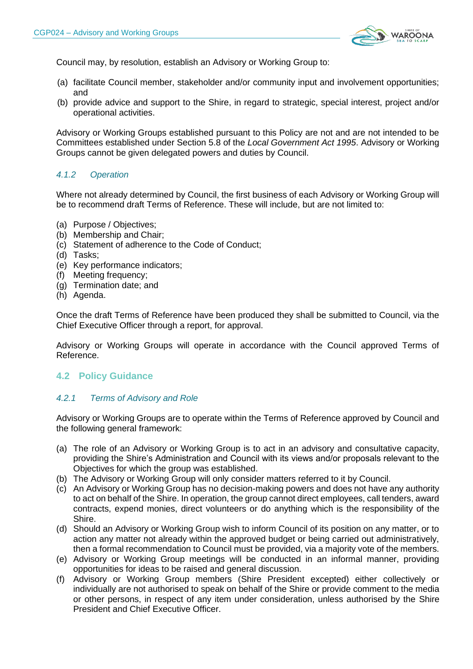

Council may, by resolution, establish an Advisory or Working Group to:

- (a) facilitate Council member, stakeholder and/or community input and involvement opportunities; and
- (b) provide advice and support to the Shire, in regard to strategic, special interest, project and/or operational activities.

Advisory or Working Groups established pursuant to this Policy are not and are not intended to be Committees established under Section 5.8 of the *Local Government Act 1995*. Advisory or Working Groups cannot be given delegated powers and duties by Council.

## *4.1.2 Operation*

Where not already determined by Council, the first business of each Advisory or Working Group will be to recommend draft Terms of Reference. These will include, but are not limited to:

- (a) Purpose / Objectives;
- (b) Membership and Chair;
- (c) Statement of adherence to the Code of Conduct;
- (d) Tasks;
- (e) Key performance indicators;
- (f) Meeting frequency;
- (g) Termination date; and
- (h) Agenda.

Once the draft Terms of Reference have been produced they shall be submitted to Council, via the Chief Executive Officer through a report, for approval.

Advisory or Working Groups will operate in accordance with the Council approved Terms of Reference.

#### **4.2 Policy Guidance**

#### *4.2.1 Terms of Advisory and Role*

Advisory or Working Groups are to operate within the Terms of Reference approved by Council and the following general framework:

- (a) The role of an Advisory or Working Group is to act in an advisory and consultative capacity, providing the Shire's Administration and Council with its views and/or proposals relevant to the Objectives for which the group was established.
- (b) The Advisory or Working Group will only consider matters referred to it by Council.
- (c) An Advisory or Working Group has no decision-making powers and does not have any authority to act on behalf of the Shire. In operation, the group cannot direct employees, call tenders, award contracts, expend monies, direct volunteers or do anything which is the responsibility of the Shire.
- (d) Should an Advisory or Working Group wish to inform Council of its position on any matter, or to action any matter not already within the approved budget or being carried out administratively, then a formal recommendation to Council must be provided, via a majority vote of the members.
- (e) Advisory or Working Group meetings will be conducted in an informal manner, providing opportunities for ideas to be raised and general discussion.
- (f) Advisory or Working Group members (Shire President excepted) either collectively or individually are not authorised to speak on behalf of the Shire or provide comment to the media or other persons, in respect of any item under consideration, unless authorised by the Shire President and Chief Executive Officer.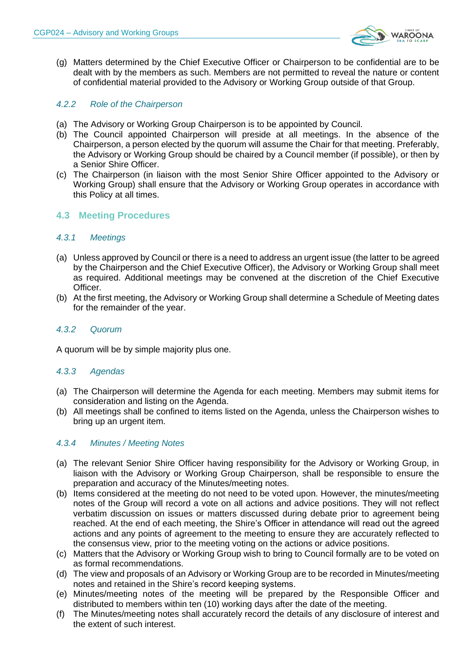

(g) Matters determined by the Chief Executive Officer or Chairperson to be confidential are to be dealt with by the members as such. Members are not permitted to reveal the nature or content of confidential material provided to the Advisory or Working Group outside of that Group.

## *4.2.2 Role of the Chairperson*

- (a) The Advisory or Working Group Chairperson is to be appointed by Council.
- (b) The Council appointed Chairperson will preside at all meetings. In the absence of the Chairperson, a person elected by the quorum will assume the Chair for that meeting. Preferably, the Advisory or Working Group should be chaired by a Council member (if possible), or then by a Senior Shire Officer.
- (c) The Chairperson (in liaison with the most Senior Shire Officer appointed to the Advisory or Working Group) shall ensure that the Advisory or Working Group operates in accordance with this Policy at all times.

## **4.3 Meeting Procedures**

#### *4.3.1 Meetings*

- (a) Unless approved by Council or there is a need to address an urgent issue (the latter to be agreed by the Chairperson and the Chief Executive Officer), the Advisory or Working Group shall meet as required. Additional meetings may be convened at the discretion of the Chief Executive Officer.
- (b) At the first meeting, the Advisory or Working Group shall determine a Schedule of Meeting dates for the remainder of the year.

#### *4.3.2 Quorum*

A quorum will be by simple majority plus one.

#### *4.3.3 Agendas*

- (a) The Chairperson will determine the Agenda for each meeting. Members may submit items for consideration and listing on the Agenda.
- (b) All meetings shall be confined to items listed on the Agenda, unless the Chairperson wishes to bring up an urgent item.

#### *4.3.4 Minutes / Meeting Notes*

- (a) The relevant Senior Shire Officer having responsibility for the Advisory or Working Group, in liaison with the Advisory or Working Group Chairperson, shall be responsible to ensure the preparation and accuracy of the Minutes/meeting notes.
- (b) Items considered at the meeting do not need to be voted upon. However, the minutes/meeting notes of the Group will record a vote on all actions and advice positions. They will not reflect verbatim discussion on issues or matters discussed during debate prior to agreement being reached. At the end of each meeting, the Shire's Officer in attendance will read out the agreed actions and any points of agreement to the meeting to ensure they are accurately reflected to the consensus view, prior to the meeting voting on the actions or advice positions.
- (c) Matters that the Advisory or Working Group wish to bring to Council formally are to be voted on as formal recommendations.
- (d) The view and proposals of an Advisory or Working Group are to be recorded in Minutes/meeting notes and retained in the Shire's record keeping systems.
- (e) Minutes/meeting notes of the meeting will be prepared by the Responsible Officer and distributed to members within ten (10) working days after the date of the meeting.
- (f) The Minutes/meeting notes shall accurately record the details of any disclosure of interest and the extent of such interest.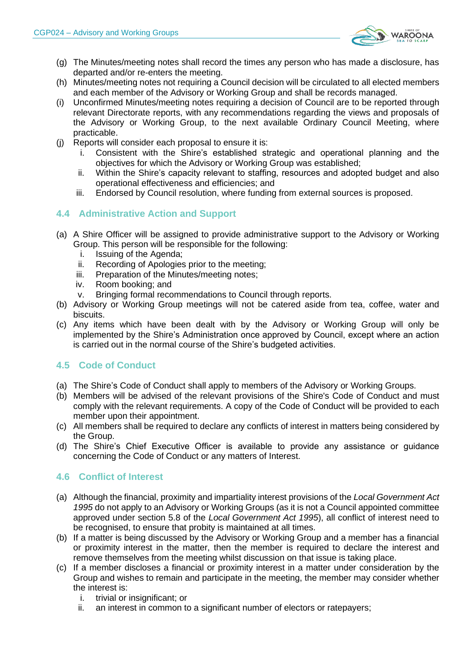

- (g) The Minutes/meeting notes shall record the times any person who has made a disclosure, has departed and/or re-enters the meeting.
- (h) Minutes/meeting notes not requiring a Council decision will be circulated to all elected members and each member of the Advisory or Working Group and shall be records managed.
- (i) Unconfirmed Minutes/meeting notes requiring a decision of Council are to be reported through relevant Directorate reports, with any recommendations regarding the views and proposals of the Advisory or Working Group, to the next available Ordinary Council Meeting, where practicable.
- (j) Reports will consider each proposal to ensure it is:
	- i. Consistent with the Shire's established strategic and operational planning and the objectives for which the Advisory or Working Group was established;
	- ii. Within the Shire's capacity relevant to staffing, resources and adopted budget and also operational effectiveness and efficiencies; and
	- iii. Endorsed by Council resolution, where funding from external sources is proposed.

# **4.4 Administrative Action and Support**

- (a) A Shire Officer will be assigned to provide administrative support to the Advisory or Working Group. This person will be responsible for the following:
	- i. Issuing of the Agenda;
	- ii. Recording of Apologies prior to the meeting;
	- iii. Preparation of the Minutes/meeting notes;
	- iv. Room booking; and
	- v. Bringing formal recommendations to Council through reports.
- (b) Advisory or Working Group meetings will not be catered aside from tea, coffee, water and biscuits.
- (c) Any items which have been dealt with by the Advisory or Working Group will only be implemented by the Shire's Administration once approved by Council, except where an action is carried out in the normal course of the Shire's budgeted activities.

# **4.5 Code of Conduct**

- (a) The Shire's Code of Conduct shall apply to members of the Advisory or Working Groups.
- (b) Members will be advised of the relevant provisions of the Shire's Code of Conduct and must comply with the relevant requirements. A copy of the Code of Conduct will be provided to each member upon their appointment.
- (c) All members shall be required to declare any conflicts of interest in matters being considered by the Group.
- (d) The Shire's Chief Executive Officer is available to provide any assistance or guidance concerning the Code of Conduct or any matters of Interest.

# **4.6 Conflict of Interest**

- (a) Although the financial, proximity and impartiality interest provisions of the *Local Government Act 1995* do not apply to an Advisory or Working Groups (as it is not a Council appointed committee approved under section 5.8 of the *Local Government Act 1995*), all conflict of interest need to be recognised, to ensure that probity is maintained at all times.
- (b) If a matter is being discussed by the Advisory or Working Group and a member has a financial or proximity interest in the matter, then the member is required to declare the interest and remove themselves from the meeting whilst discussion on that issue is taking place.
- (c) If a member discloses a financial or proximity interest in a matter under consideration by the Group and wishes to remain and participate in the meeting, the member may consider whether the interest is:
	- i. trivial or insignificant; or
	- ii. an interest in common to a significant number of electors or ratepayers;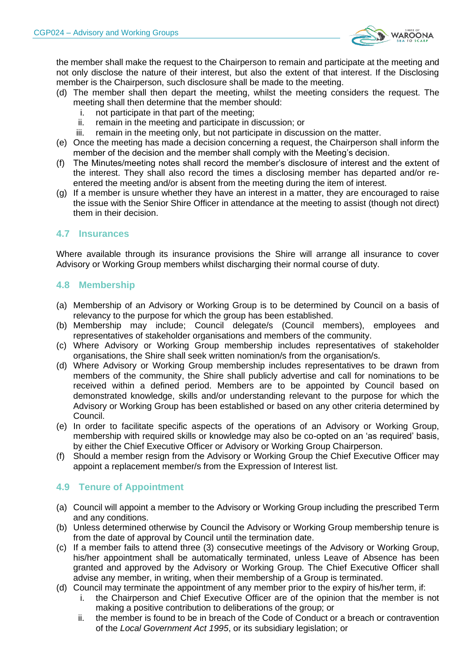

the member shall make the request to the Chairperson to remain and participate at the meeting and not only disclose the nature of their interest, but also the extent of that interest. If the Disclosing member is the Chairperson, such disclosure shall be made to the meeting.

- (d) The member shall then depart the meeting, whilst the meeting considers the request. The meeting shall then determine that the member should:
	- i. not participate in that part of the meeting;
	- ii. remain in the meeting and participate in discussion; or
	- iii. remain in the meeting only, but not participate in discussion on the matter.
- (e) Once the meeting has made a decision concerning a request, the Chairperson shall inform the member of the decision and the member shall comply with the Meeting's decision.
- (f) The Minutes/meeting notes shall record the member's disclosure of interest and the extent of the interest. They shall also record the times a disclosing member has departed and/or reentered the meeting and/or is absent from the meeting during the item of interest.
- (g) If a member is unsure whether they have an interest in a matter, they are encouraged to raise the issue with the Senior Shire Officer in attendance at the meeting to assist (though not direct) them in their decision.

# **4.7 Insurances**

Where available through its insurance provisions the Shire will arrange all insurance to cover Advisory or Working Group members whilst discharging their normal course of duty.

## **4.8 Membership**

- (a) Membership of an Advisory or Working Group is to be determined by Council on a basis of relevancy to the purpose for which the group has been established.
- (b) Membership may include; Council delegate/s (Council members), employees and representatives of stakeholder organisations and members of the community.
- (c) Where Advisory or Working Group membership includes representatives of stakeholder organisations, the Shire shall seek written nomination/s from the organisation/s.
- (d) Where Advisory or Working Group membership includes representatives to be drawn from members of the community, the Shire shall publicly advertise and call for nominations to be received within a defined period. Members are to be appointed by Council based on demonstrated knowledge, skills and/or understanding relevant to the purpose for which the Advisory or Working Group has been established or based on any other criteria determined by Council.
- (e) In order to facilitate specific aspects of the operations of an Advisory or Working Group, membership with required skills or knowledge may also be co-opted on an 'as required' basis, by either the Chief Executive Officer or Advisory or Working Group Chairperson.
- (f) Should a member resign from the Advisory or Working Group the Chief Executive Officer may appoint a replacement member/s from the Expression of Interest list.

# **4.9 Tenure of Appointment**

- (a) Council will appoint a member to the Advisory or Working Group including the prescribed Term and any conditions.
- (b) Unless determined otherwise by Council the Advisory or Working Group membership tenure is from the date of approval by Council until the termination date.
- (c) If a member fails to attend three (3) consecutive meetings of the Advisory or Working Group, his/her appointment shall be automatically terminated, unless Leave of Absence has been granted and approved by the Advisory or Working Group. The Chief Executive Officer shall advise any member, in writing, when their membership of a Group is terminated.
- (d) Council may terminate the appointment of any member prior to the expiry of his/her term, if:
	- i. the Chairperson and Chief Executive Officer are of the opinion that the member is not making a positive contribution to deliberations of the group; or
	- ii. the member is found to be in breach of the Code of Conduct or a breach or contravention of the *Local Government Act 1995*, or its subsidiary legislation; or